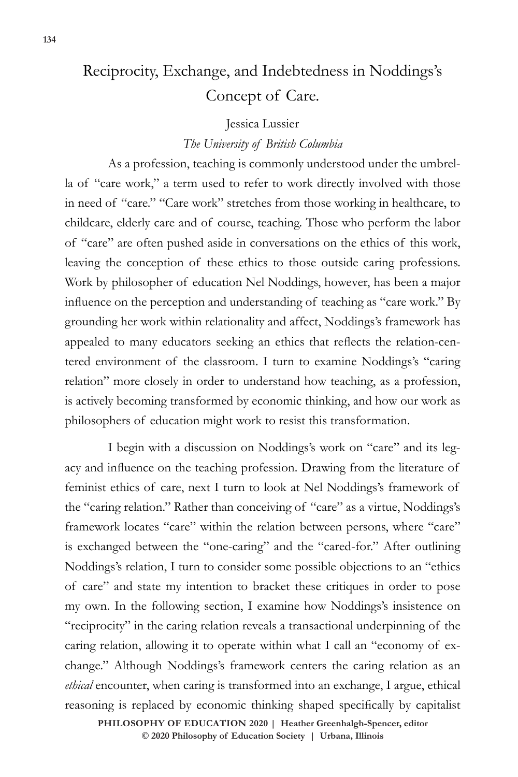# Reciprocity, Exchange, and Indebtedness in Noddings's Concept of Care.

#### Jessica Lussier

## *The University of British Columbia*

As a profession, teaching is commonly understood under the umbrella of "care work," a term used to refer to work directly involved with those in need of "care." "Care work" stretches from those working in healthcare, to childcare, elderly care and of course, teaching. Those who perform the labor of "care" are often pushed aside in conversations on the ethics of this work, leaving the conception of these ethics to those outside caring professions. Work by philosopher of education Nel Noddings, however, has been a major influence on the perception and understanding of teaching as "care work." By grounding her work within relationality and affect, Noddings's framework has appealed to many educators seeking an ethics that reflects the relation-centered environment of the classroom. I turn to examine Noddings's "caring relation" more closely in order to understand how teaching, as a profession, is actively becoming transformed by economic thinking, and how our work as philosophers of education might work to resist this transformation.

I begin with a discussion on Noddings's work on "care" and its legacy and influence on the teaching profession. Drawing from the literature of feminist ethics of care, next I turn to look at Nel Noddings's framework of the "caring relation." Rather than conceiving of "care" as a virtue, Noddings's framework locates "care" within the relation between persons, where "care" is exchanged between the "one-caring" and the "cared-for." After outlining Noddings's relation, I turn to consider some possible objections to an "ethics of care" and state my intention to bracket these critiques in order to pose my own. In the following section, I examine how Noddings's insistence on "reciprocity" in the caring relation reveals a transactional underpinning of the caring relation, allowing it to operate within what I call an "economy of exchange." Although Noddings's framework centers the caring relation as an *ethical* encounter, when caring is transformed into an exchange, I argue, ethical reasoning is replaced by economic thinking shaped specifically by capitalist

**PHILOSOPHY OF EDUCATION 2020 | Heather Greenhalgh-Spencer, editor © 2020 Philosophy of Education Society | Urbana, Illinois**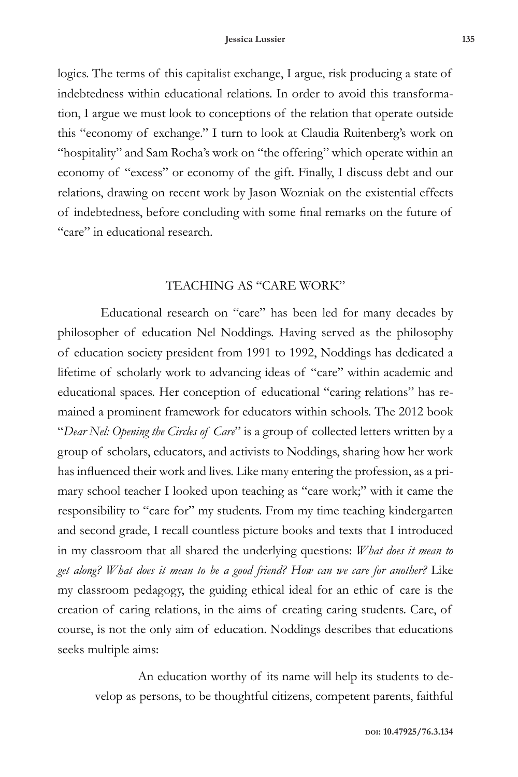logics. The terms of this capitalist exchange, I argue, risk producing a state of indebtedness within educational relations. In order to avoid this transformation, I argue we must look to conceptions of the relation that operate outside this "economy of exchange." I turn to look at Claudia Ruitenberg's work on "hospitality" and Sam Rocha's work on "the offering" which operate within an economy of "excess" or economy of the gift. Finally, I discuss debt and our relations, drawing on recent work by Jason Wozniak on the existential effects of indebtedness, before concluding with some final remarks on the future of "care" in educational research.

## TEACHING AS "CARE WORK"

Educational research on "care" has been led for many decades by philosopher of education Nel Noddings. Having served as the philosophy of education society president from 1991 to 1992, Noddings has dedicated a lifetime of scholarly work to advancing ideas of "care" within academic and educational spaces. Her conception of educational "caring relations" has remained a prominent framework for educators within schools. The 2012 book "*Dear Nel: Opening the Circles of Care*" is a group of collected letters written by a group of scholars, educators, and activists to Noddings, sharing how her work has influenced their work and lives. Like many entering the profession, as a primary school teacher I looked upon teaching as "care work;" with it came the responsibility to "care for" my students. From my time teaching kindergarten and second grade, I recall countless picture books and texts that I introduced in my classroom that all shared the underlying questions: *What does it mean to get along? What does it mean to be a good friend? How can we care for another?* Like my classroom pedagogy, the guiding ethical ideal for an ethic of care is the creation of caring relations, in the aims of creating caring students. Care, of course, is not the only aim of education. Noddings describes that educations seeks multiple aims:

An education worthy of its name will help its students to develop as persons, to be thoughtful citizens, competent parents, faithful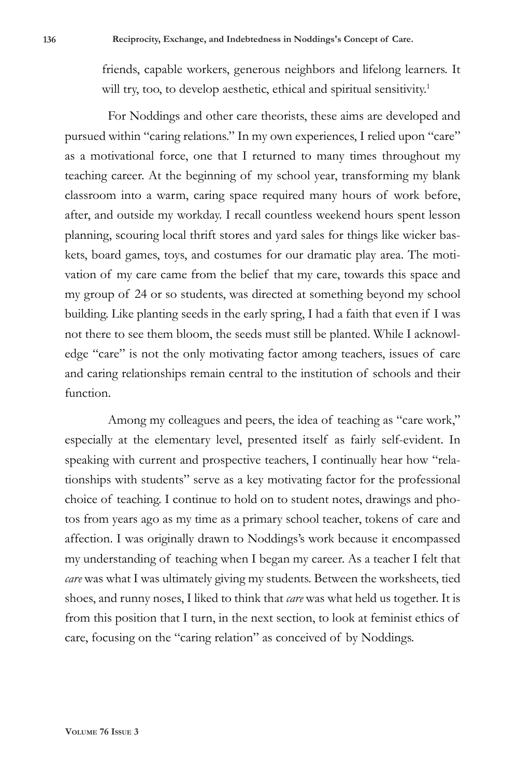friends, capable workers, generous neighbors and lifelong learners. It will try, too, to develop aesthetic, ethical and spiritual sensitivity.<sup>1</sup>

For Noddings and other care theorists, these aims are developed and pursued within "caring relations." In my own experiences, I relied upon "care" as a motivational force, one that I returned to many times throughout my teaching career. At the beginning of my school year, transforming my blank classroom into a warm, caring space required many hours of work before, after, and outside my workday. I recall countless weekend hours spent lesson planning, scouring local thrift stores and yard sales for things like wicker baskets, board games, toys, and costumes for our dramatic play area. The motivation of my care came from the belief that my care, towards this space and my group of 24 or so students, was directed at something beyond my school building. Like planting seeds in the early spring, I had a faith that even if I was not there to see them bloom, the seeds must still be planted. While I acknowledge "care" is not the only motivating factor among teachers, issues of care and caring relationships remain central to the institution of schools and their function.

Among my colleagues and peers, the idea of teaching as "care work," especially at the elementary level, presented itself as fairly self-evident. In speaking with current and prospective teachers, I continually hear how "relationships with students" serve as a key motivating factor for the professional choice of teaching. I continue to hold on to student notes, drawings and photos from years ago as my time as a primary school teacher, tokens of care and affection. I was originally drawn to Noddings's work because it encompassed my understanding of teaching when I began my career. As a teacher I felt that *care* was what I was ultimately giving my students. Between the worksheets, tied shoes, and runny noses, I liked to think that *care* was what held us together. It is from this position that I turn, in the next section, to look at feminist ethics of care, focusing on the "caring relation" as conceived of by Noddings.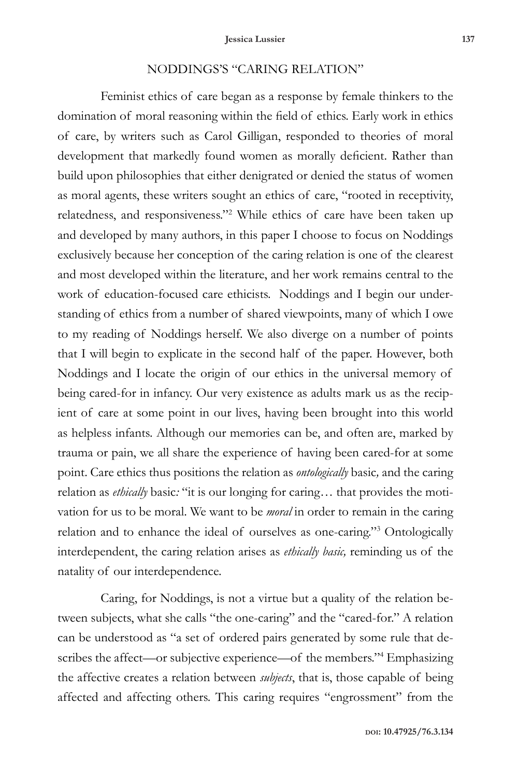# NODDINGS'S "CARING RELATION"

Feminist ethics of care began as a response by female thinkers to the domination of moral reasoning within the field of ethics. Early work in ethics of care, by writers such as Carol Gilligan, responded to theories of moral development that markedly found women as morally deficient. Rather than build upon philosophies that either denigrated or denied the status of women as moral agents, these writers sought an ethics of care, "rooted in receptivity, relatedness, and responsiveness."<sup>2</sup> While ethics of care have been taken up and developed by many authors, in this paper I choose to focus on Noddings exclusively because her conception of the caring relation is one of the clearest and most developed within the literature, and her work remains central to the work of education-focused care ethicists. Noddings and I begin our understanding of ethics from a number of shared viewpoints, many of which I owe to my reading of Noddings herself. We also diverge on a number of points that I will begin to explicate in the second half of the paper. However, both Noddings and I locate the origin of our ethics in the universal memory of being cared-for in infancy. Our very existence as adults mark us as the recipient of care at some point in our lives, having been brought into this world as helpless infants. Although our memories can be, and often are, marked by trauma or pain, we all share the experience of having been cared-for at some point. Care ethics thus positions the relation as *ontologically* basic*,* and the caring relation as *ethically* basic*:* "it is our longing for caring… that provides the motivation for us to be moral. We want to be *moral* in order to remain in the caring relation and to enhance the ideal of ourselves as one-caring."3 Ontologically interdependent, the caring relation arises as *ethically basic,* reminding us of the natality of our interdependence.

Caring, for Noddings, is not a virtue but a quality of the relation between subjects, what she calls "the one-caring" and the "cared-for." A relation can be understood as "a set of ordered pairs generated by some rule that describes the affect—or subjective experience—of the members."4 Emphasizing the affective creates a relation between *subjects*, that is, those capable of being affected and affecting others. This caring requires "engrossment" from the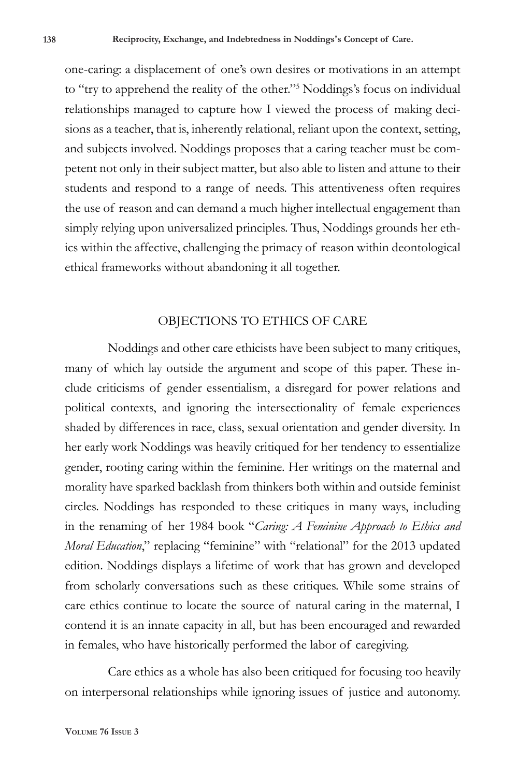one-caring: a displacement of one's own desires or motivations in an attempt to "try to apprehend the reality of the other."5 Noddings's focus on individual relationships managed to capture how I viewed the process of making decisions as a teacher, that is, inherently relational, reliant upon the context, setting, and subjects involved. Noddings proposes that a caring teacher must be competent not only in their subject matter, but also able to listen and attune to their students and respond to a range of needs. This attentiveness often requires the use of reason and can demand a much higher intellectual engagement than simply relying upon universalized principles. Thus, Noddings grounds her ethics within the affective, challenging the primacy of reason within deontological ethical frameworks without abandoning it all together.

## OBJECTIONS TO ETHICS OF CARE

Noddings and other care ethicists have been subject to many critiques, many of which lay outside the argument and scope of this paper. These include criticisms of gender essentialism, a disregard for power relations and political contexts, and ignoring the intersectionality of female experiences shaded by differences in race, class, sexual orientation and gender diversity. In her early work Noddings was heavily critiqued for her tendency to essentialize gender, rooting caring within the feminine. Her writings on the maternal and morality have sparked backlash from thinkers both within and outside feminist circles. Noddings has responded to these critiques in many ways, including in the renaming of her 1984 book "*Caring: A Feminine Approach to Ethics and Moral Education*," replacing "feminine" with "relational" for the 2013 updated edition. Noddings displays a lifetime of work that has grown and developed from scholarly conversations such as these critiques. While some strains of care ethics continue to locate the source of natural caring in the maternal, I contend it is an innate capacity in all, but has been encouraged and rewarded in females, who have historically performed the labor of caregiving.

Care ethics as a whole has also been critiqued for focusing too heavily on interpersonal relationships while ignoring issues of justice and autonomy.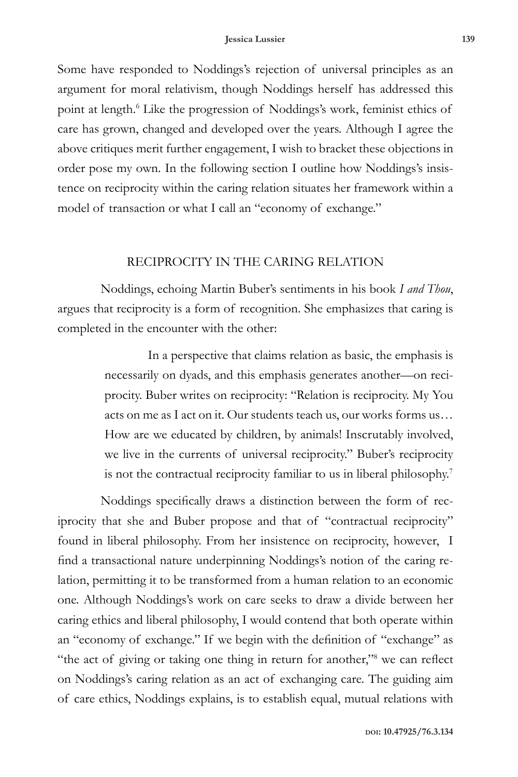Some have responded to Noddings's rejection of universal principles as an argument for moral relativism, though Noddings herself has addressed this point at length.<sup>6</sup> Like the progression of Noddings's work, feminist ethics of care has grown, changed and developed over the years. Although I agree the above critiques merit further engagement, I wish to bracket these objections in order pose my own. In the following section I outline how Noddings's insistence on reciprocity within the caring relation situates her framework within a model of transaction or what I call an "economy of exchange."

#### RECIPROCITY IN THE CARING RELATION

Noddings, echoing Martin Buber's sentiments in his book *I and Thou*, argues that reciprocity is a form of recognition. She emphasizes that caring is completed in the encounter with the other:

> In a perspective that claims relation as basic, the emphasis is necessarily on dyads, and this emphasis generates another—on reciprocity. Buber writes on reciprocity: "Relation is reciprocity. My You acts on me as I act on it. Our students teach us, our works forms us… How are we educated by children, by animals! Inscrutably involved, we live in the currents of universal reciprocity." Buber's reciprocity is not the contractual reciprocity familiar to us in liberal philosophy.7

Noddings specifically draws a distinction between the form of reciprocity that she and Buber propose and that of "contractual reciprocity" found in liberal philosophy. From her insistence on reciprocity, however, I find a transactional nature underpinning Noddings's notion of the caring relation, permitting it to be transformed from a human relation to an economic one. Although Noddings's work on care seeks to draw a divide between her caring ethics and liberal philosophy, I would contend that both operate within an "economy of exchange." If we begin with the definition of "exchange" as "the act of giving or taking one thing in return for another,"<sup>8</sup> we can reflect on Noddings's caring relation as an act of exchanging care. The guiding aim of care ethics, Noddings explains, is to establish equal, mutual relations with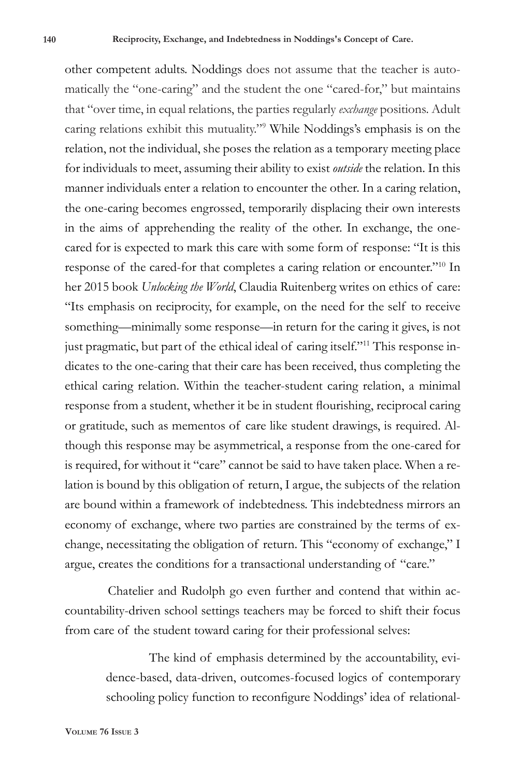other competent adults. Noddings does not assume that the teacher is automatically the "one-caring" and the student the one "cared-for," but maintains that "over time, in equal relations, the parties regularly *exchange* positions. Adult caring relations exhibit this mutuality."9 While Noddings's emphasis is on the relation, not the individual, she poses the relation as a temporary meeting place for individuals to meet, assuming their ability to exist *outside* the relation. In this manner individuals enter a relation to encounter the other. In a caring relation, the one-caring becomes engrossed, temporarily displacing their own interests in the aims of apprehending the reality of the other. In exchange, the onecared for is expected to mark this care with some form of response: "It is this response of the cared-for that completes a caring relation or encounter."10 In her 2015 book *Unlocking the World*, Claudia Ruitenberg writes on ethics of care: "Its emphasis on reciprocity, for example, on the need for the self to receive something—minimally some response—in return for the caring it gives, is not just pragmatic, but part of the ethical ideal of caring itself."11 This response indicates to the one-caring that their care has been received, thus completing the ethical caring relation. Within the teacher-student caring relation, a minimal response from a student, whether it be in student flourishing, reciprocal caring or gratitude, such as mementos of care like student drawings, is required. Although this response may be asymmetrical, a response from the one-cared for is required, for without it "care" cannot be said to have taken place. When a relation is bound by this obligation of return, I argue, the subjects of the relation are bound within a framework of indebtedness. This indebtedness mirrors an economy of exchange, where two parties are constrained by the terms of exchange, necessitating the obligation of return. This "economy of exchange," I argue, creates the conditions for a transactional understanding of "care."

Chatelier and Rudolph go even further and contend that within accountability-driven school settings teachers may be forced to shift their focus from care of the student toward caring for their professional selves:

> The kind of emphasis determined by the accountability, evidence-based, data-driven, outcomes-focused logics of contemporary schooling policy function to reconfigure Noddings' idea of relational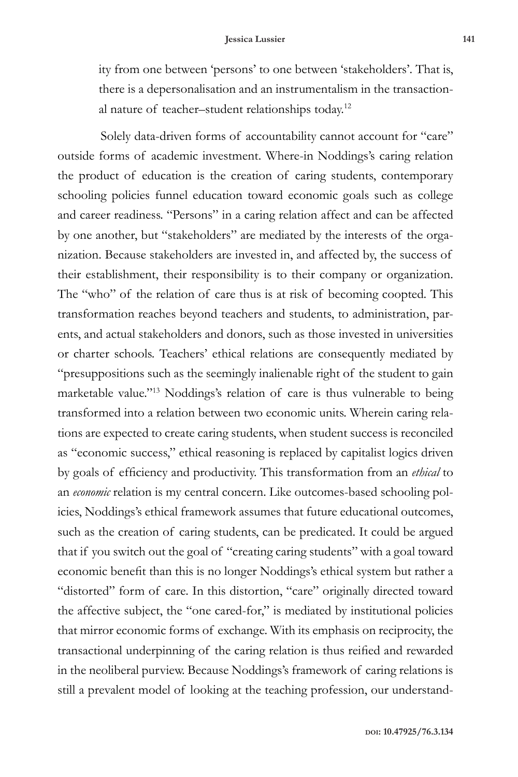ity from one between 'persons' to one between 'stakeholders'. That is, there is a depersonalisation and an instrumentalism in the transactional nature of teacher–student relationships today.12

Solely data-driven forms of accountability cannot account for "care" outside forms of academic investment. Where-in Noddings's caring relation the product of education is the creation of caring students, contemporary schooling policies funnel education toward economic goals such as college and career readiness. "Persons" in a caring relation affect and can be affected by one another, but "stakeholders" are mediated by the interests of the organization. Because stakeholders are invested in, and affected by, the success of their establishment, their responsibility is to their company or organization. The "who" of the relation of care thus is at risk of becoming coopted*.* This transformation reaches beyond teachers and students, to administration, parents, and actual stakeholders and donors, such as those invested in universities or charter schools. Teachers' ethical relations are consequently mediated by "presuppositions such as the seemingly inalienable right of the student to gain marketable value."13 Noddings's relation of care is thus vulnerable to being transformed into a relation between two economic units. Wherein caring relations are expected to create caring students, when student success is reconciled as "economic success," ethical reasoning is replaced by capitalist logics driven by goals of efficiency and productivity. This transformation from an *ethical* to an *economic* relation is my central concern. Like outcomes-based schooling policies, Noddings's ethical framework assumes that future educational outcomes, such as the creation of caring students, can be predicated. It could be argued that if you switch out the goal of "creating caring students" with a goal toward economic benefit than this is no longer Noddings's ethical system but rather a "distorted" form of care. In this distortion, "care" originally directed toward the affective subject, the "one cared-for," is mediated by institutional policies that mirror economic forms of exchange. With its emphasis on reciprocity, the transactional underpinning of the caring relation is thus reified and rewarded in the neoliberal purview. Because Noddings's framework of caring relations is still a prevalent model of looking at the teaching profession, our understand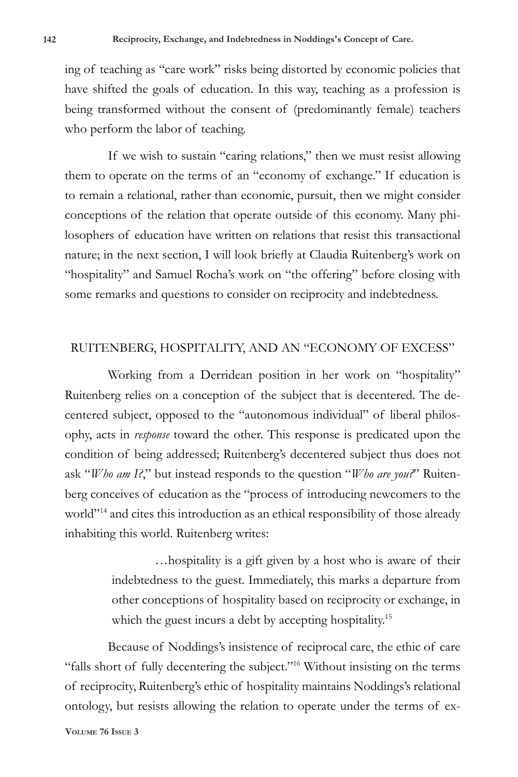ing of teaching as "care work" risks being distorted by economic policies that have shifted the goals of education. In this way, teaching as a profession is being transformed without the consent of (predominantly female) teachers who perform the labor of teaching.

If we wish to sustain "caring relations," then we must resist allowing them to operate on the terms of an "economy of exchange." If education is to remain a relational, rather than economic, pursuit, then we might consider conceptions of the relation that operate outside of this economy. Many philosophers of education have written on relations that resist this transactional nature; in the next section, I will look briefly at Claudia Ruitenberg's work on "hospitality" and Samuel Rocha's work on "the offering" before closing with some remarks and questions to consider on reciprocity and indebtedness.

#### RUITENBERG, HOSPITALITY, AND AN "ECONOMY OF EXCESS"

Working from a Derridean position in her work on "hospitality" Ruitenberg relies on a conception of the subject that is decentered. The decentered subject, opposed to the "autonomous individual" of liberal philosophy, acts in *response* toward the other. This response is predicated upon the condition of being addressed; Ruitenberg's decentered subject thus does not ask "*Who am I?*," but instead responds to the question "*Who are you?*" Ruitenberg conceives of education as the "process of introducing newcomers to the world"<sup>14</sup> and cites this introduction as an ethical responsibility of those already inhabiting this world. Ruitenberg writes:

> …hospitality is a gift given by a host who is aware of their indebtedness to the guest. Immediately, this marks a departure from other conceptions of hospitality based on reciprocity or exchange, in which the guest incurs a debt by accepting hospitality.<sup>15</sup>

Because of Noddings's insistence of reciprocal care, the ethic of care "falls short of fully decentering the subject."16 Without insisting on the terms of reciprocity, Ruitenberg's ethic of hospitality maintains Noddings's relational ontology, but resists allowing the relation to operate under the terms of ex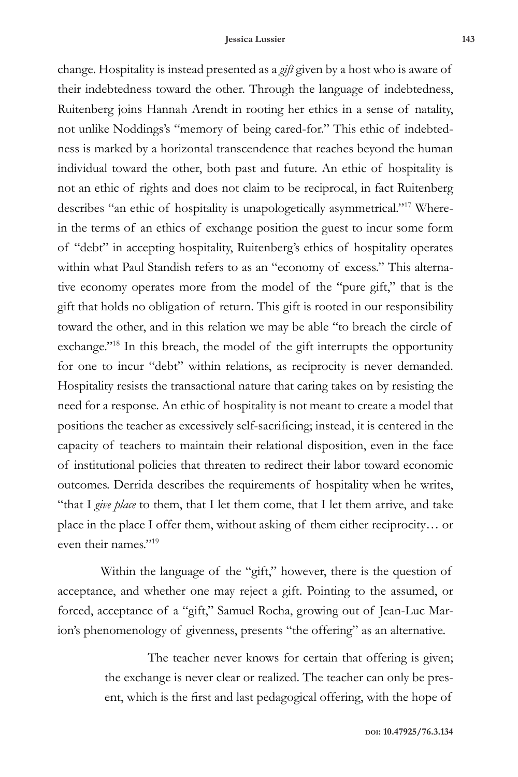change. Hospitality is instead presented as a *gift* given by a host who is aware of their indebtedness toward the other. Through the language of indebtedness, Ruitenberg joins Hannah Arendt in rooting her ethics in a sense of natality, not unlike Noddings's "memory of being cared-for." This ethic of indebtedness is marked by a horizontal transcendence that reaches beyond the human individual toward the other, both past and future. An ethic of hospitality is not an ethic of rights and does not claim to be reciprocal, in fact Ruitenberg describes "an ethic of hospitality is unapologetically asymmetrical."17 Wherein the terms of an ethics of exchange position the guest to incur some form of "debt" in accepting hospitality, Ruitenberg's ethics of hospitality operates within what Paul Standish refers to as an "economy of excess." This alternative economy operates more from the model of the "pure gift," that is the gift that holds no obligation of return. This gift is rooted in our responsibility toward the other, and in this relation we may be able "to breach the circle of exchange."<sup>18</sup> In this breach, the model of the gift interrupts the opportunity for one to incur "debt" within relations, as reciprocity is never demanded. Hospitality resists the transactional nature that caring takes on by resisting the need for a response. An ethic of hospitality is not meant to create a model that positions the teacher as excessively self-sacrificing; instead, it is centered in the capacity of teachers to maintain their relational disposition, even in the face of institutional policies that threaten to redirect their labor toward economic outcomes. Derrida describes the requirements of hospitality when he writes, "that I *give place* to them, that I let them come, that I let them arrive, and take place in the place I offer them, without asking of them either reciprocity… or even their names."19

Within the language of the "gift," however, there is the question of acceptance, and whether one may reject a gift. Pointing to the assumed, or forced, acceptance of a "gift," Samuel Rocha, growing out of Jean-Luc Marion's phenomenology of givenness, presents "the offering" as an alternative.

> The teacher never knows for certain that offering is given; the exchange is never clear or realized. The teacher can only be present, which is the first and last pedagogical offering, with the hope of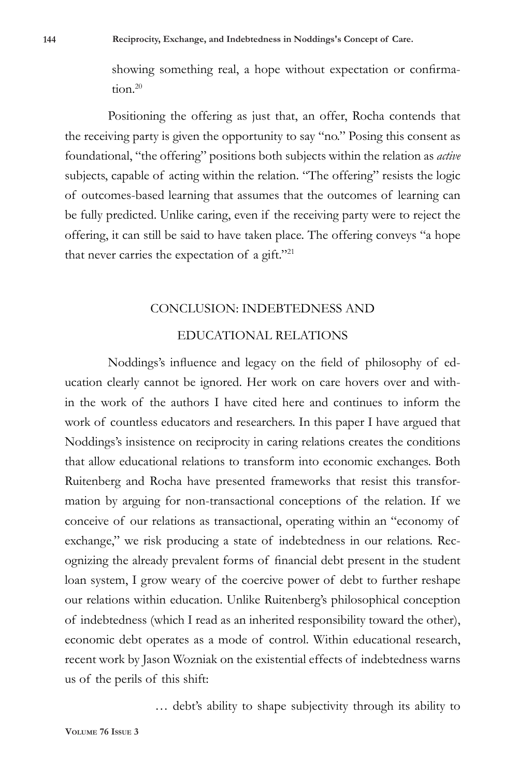showing something real, a hope without expectation or confirmation.<sup>20</sup>

Positioning the offering as just that, an offer, Rocha contends that the receiving party is given the opportunity to say "no." Posing this consent as foundational, "the offering" positions both subjects within the relation as *active* subjects, capable of acting within the relation. "The offering" resists the logic of outcomes-based learning that assumes that the outcomes of learning can be fully predicted. Unlike caring, even if the receiving party were to reject the offering, it can still be said to have taken place. The offering conveys "a hope that never carries the expectation of a gift."<sup>21</sup>

#### CONCLUSION: INDEBTEDNESS AND

# EDUCATIONAL RELATIONS

Noddings's influence and legacy on the field of philosophy of education clearly cannot be ignored. Her work on care hovers over and within the work of the authors I have cited here and continues to inform the work of countless educators and researchers. In this paper I have argued that Noddings's insistence on reciprocity in caring relations creates the conditions that allow educational relations to transform into economic exchanges. Both Ruitenberg and Rocha have presented frameworks that resist this transformation by arguing for non-transactional conceptions of the relation. If we conceive of our relations as transactional, operating within an "economy of exchange," we risk producing a state of indebtedness in our relations. Recognizing the already prevalent forms of financial debt present in the student loan system, I grow weary of the coercive power of debt to further reshape our relations within education. Unlike Ruitenberg's philosophical conception of indebtedness (which I read as an inherited responsibility toward the other), economic debt operates as a mode of control. Within educational research, recent work by Jason Wozniak on the existential effects of indebtedness warns us of the perils of this shift:

… debt's ability to shape subjectivity through its ability to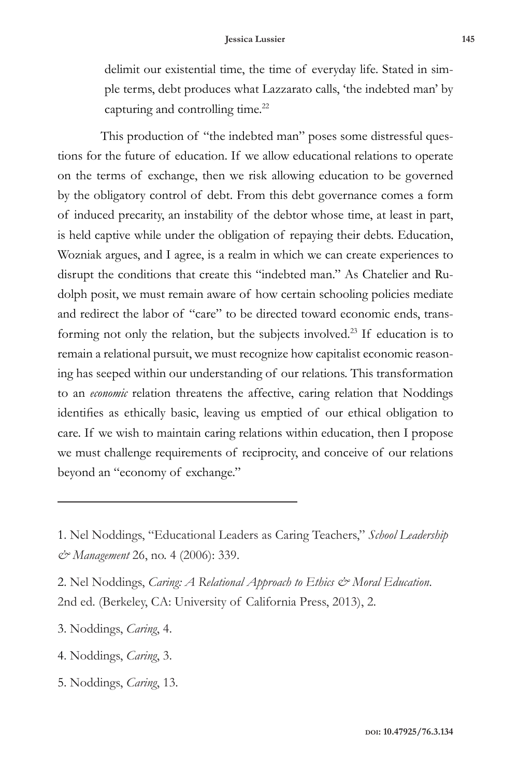delimit our existential time, the time of everyday life. Stated in simple terms, debt produces what Lazzarato calls, 'the indebted man' by capturing and controlling time.<sup>22</sup>

This production of "the indebted man" poses some distressful questions for the future of education. If we allow educational relations to operate on the terms of exchange, then we risk allowing education to be governed by the obligatory control of debt. From this debt governance comes a form of induced precarity, an instability of the debtor whose time, at least in part, is held captive while under the obligation of repaying their debts. Education, Wozniak argues, and I agree, is a realm in which we can create experiences to disrupt the conditions that create this "indebted man." As Chatelier and Rudolph posit, we must remain aware of how certain schooling policies mediate and redirect the labor of "care" to be directed toward economic ends, transforming not only the relation, but the subjects involved.23 If education is to remain a relational pursuit, we must recognize how capitalist economic reasoning has seeped within our understanding of our relations. This transformation to an *economic* relation threatens the affective, caring relation that Noddings identifies as ethically basic, leaving us emptied of our ethical obligation to care. If we wish to maintain caring relations within education, then I propose we must challenge requirements of reciprocity, and conceive of our relations beyond an "economy of exchange."

<sup>1.</sup> Nel Noddings, "Educational Leaders as Caring Teachers," *School Leadership & Management* 26, no. 4 (2006): 339.

<sup>2.</sup> Nel Noddings, *Caring: A Relational Approach to Ethics & Moral Education*. 2nd ed. (Berkeley, CA: University of California Press, 2013), 2.

<sup>3.</sup> Noddings, *Caring*, 4.

<sup>4.</sup> Noddings, *Caring*, 3.

<sup>5.</sup> Noddings, *Caring*, 13.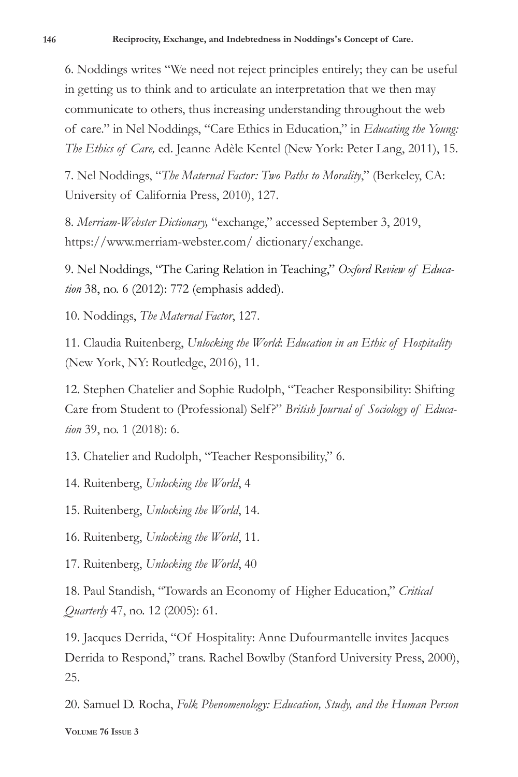6. Noddings writes "We need not reject principles entirely; they can be useful in getting us to think and to articulate an interpretation that we then may communicate to others, thus increasing understanding throughout the web of care." in Nel Noddings, "Care Ethics in Education," in *Educating the Young: The Ethics of Care,* ed. Jeanne Adèle Kentel (New York: Peter Lang, 2011), 15.

7. Nel Noddings, "*The Maternal Factor: Two Paths to Morality*," (Berkeley, CA: University of California Press, 2010), 127.

8. *Merriam-Webster Dictionary,* "exchange," accessed September 3, 2019, https://www.merriam-webster.com/ dictionary/exchange.

9. Nel Noddings, "The Caring Relation in Teaching," *Oxford Review of Education* 38, no. 6 (2012): 772 (emphasis added).

10. Noddings, *The Maternal Factor*, 127.

11. Claudia Ruitenberg, *Unlocking the World*: *Education in an Ethic of Hospitality*  (New York, NY: Routledge, 2016), 11.

12. Stephen Chatelier and Sophie Rudolph, "Teacher Responsibility: Shifting Care from Student to (Professional) Self?" *British Journal of Sociology of Education* 39, no. 1 (2018): 6.

13. Chatelier and Rudolph, "Teacher Responsibility," 6.

14. Ruitenberg, *Unlocking the World*, 4

15. Ruitenberg, *Unlocking the World*, 14.

16. Ruitenberg, *Unlocking the World*, 11.

17. Ruitenberg, *Unlocking the World*, 40

18. Paul Standish, "Towards an Economy of Higher Education," *Critical Quarterly* 47, no. 12 (2005): 61.

19. Jacques Derrida, "Of Hospitality: Anne Dufourmantelle invites Jacques Derrida to Respond," trans. Rachel Bowlby (Stanford University Press, 2000), 25.

20. Samuel D. Rocha, *Folk Phenomenology: Education, Study, and the Human Person*